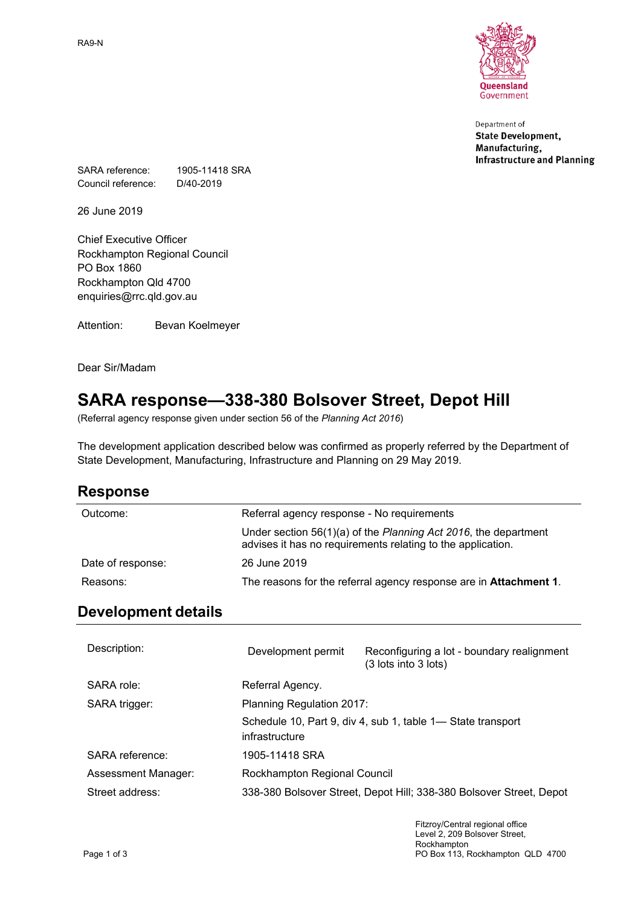RA9-N



Department of **State Development,** Manufacturing, **Infrastructure and Planning** 

SARA reference: 1905-11418 SRA Council reference: D/40-2019

26 June 2019

Chief Executive Officer Rockhampton Regional Council PO Box 1860 Rockhampton Qld 4700 enquiries@rrc.qld.gov.au

Attention: Bevan Koelmeyer

Dear Sir/Madam

# **SARA response—338-380 Bolsover Street, Depot Hill**

(Referral agency response given under section 56 of the *Planning Act 2016*)

The development application described below was confirmed as properly referred by the Department of State Development, Manufacturing, Infrastructure and Planning on 29 May 2019.

## **Response**

| Referral agency response - No requirements                                                                                     |
|--------------------------------------------------------------------------------------------------------------------------------|
| Under section 56(1)(a) of the Planning Act 2016, the department<br>advises it has no requirements relating to the application. |
| 26 June 2019                                                                                                                   |
| The reasons for the referral agency response are in <b>Attachment 1</b> .                                                      |
|                                                                                                                                |

## **Development details**

| Description:        | Development permit           | Reconfiguring a lot - boundary realignment<br>(3 lots into 3 lots)  |
|---------------------|------------------------------|---------------------------------------------------------------------|
| SARA role:          | Referral Agency.             |                                                                     |
| SARA trigger:       | Planning Regulation 2017:    |                                                                     |
|                     | infrastructure               | Schedule 10, Part 9, div 4, sub 1, table 1— State transport         |
| SARA reference:     | 1905-11418 SRA               |                                                                     |
| Assessment Manager: | Rockhampton Regional Council |                                                                     |
| Street address:     |                              | 338-380 Bolsover Street, Depot Hill; 338-380 Bolsover Street, Depot |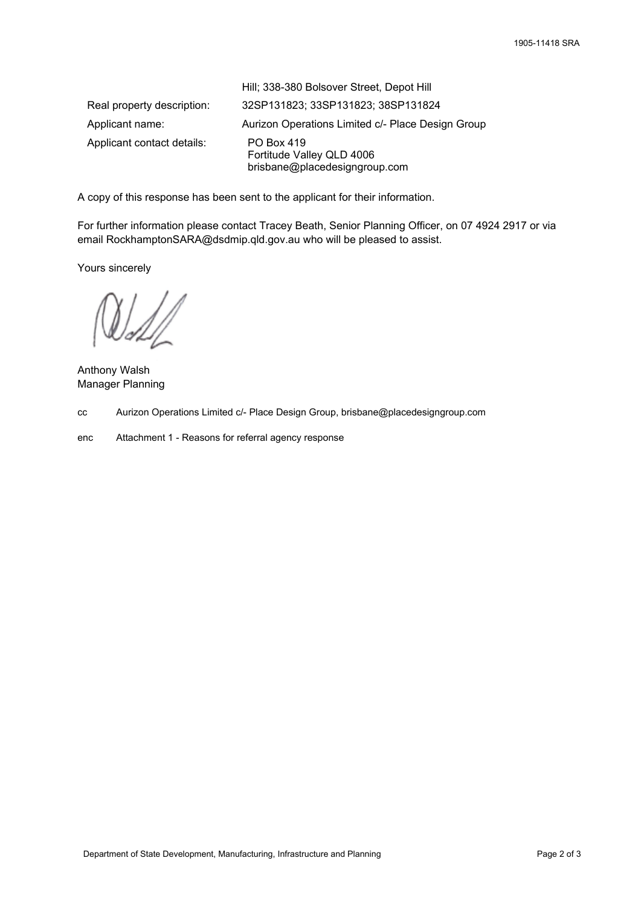|                            | Hill; 338-380 Bolsover Street, Depot Hill                                |
|----------------------------|--------------------------------------------------------------------------|
| Real property description: | 32SP131823; 33SP131823; 38SP131824                                       |
| Applicant name:            | Aurizon Operations Limited c/- Place Design Group                        |
| Applicant contact details: | PO Box 419<br>Fortitude Valley QLD 4006<br>brisbane@placedesigngroup.com |

A copy of this response has been sent to the applicant for their information.

For further information please contact Tracey Beath, Senior Planning Officer, on 07 4924 2917 or via email RockhamptonSARA@dsdmip.qld.gov.au who will be pleased to assist.

Yours sincerely

Anthony Walsh Manager Planning

cc Aurizon Operations Limited c/- Place Design Group, brisbane@placedesigngroup.com

enc Attachment 1 - Reasons for referral agency response